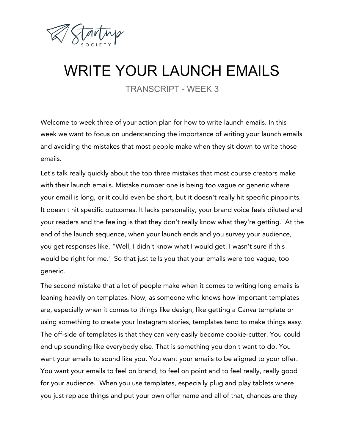

## WRITE YOUR LAUNCH EMAILS

TRANSCRIPT - WEEK 3

Welcome to week three of your action plan for how to write launch emails. In this week we want to focus on understanding the importance of writing your launch emails and avoiding the mistakes that most people make when they sit down to write those emails.

Let's talk really quickly about the top three mistakes that most course creators make with their launch emails. Mistake number one is being too vague or generic where your email is long, or it could even be short, but it doesn't really hit specific pinpoints. It doesn't hit specific outcomes. It lacks personality, your brand voice feels diluted and your readers and the feeling is that they don't really know what they're getting. At the end of the launch sequence, when your launch ends and you survey your audience, you get responses like, "Well, I didn't know what I would get. I wasn't sure if this would be right for me." So that just tells you that your emails were too vague, too generic.

The second mistake that a lot of people make when it comes to writing long emails is leaning heavily on templates. Now, as someone who knows how important templates are, especially when it comes to things like design, like getting a Canva template or using something to create your Instagram stories, templates tend to make things easy. The off-side of templates is that they can very easily become cookie-cutter. You could end up sounding like everybody else. That is something you don't want to do. You want your emails to sound like you. You want your emails to be aligned to your offer. You want your emails to feel on brand, to feel on point and to feel really, really good for your audience. When you use templates, especially plug and play tablets where you just replace things and put your own offer name and all of that, chances are they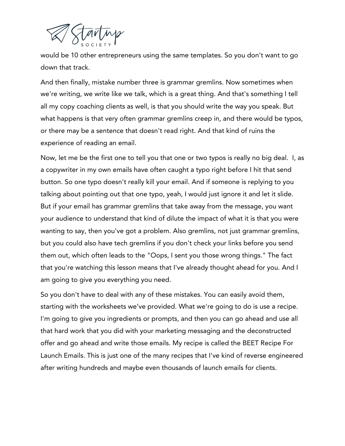

would be 10 other entrepreneurs using the same templates. So you don't want to go down that track.

And then finally, mistake number three is grammar gremlins. Now sometimes when we're writing, we write like we talk, which is a great thing. And that's something I tell all my copy coaching clients as well, is that you should write the way you speak. But what happens is that very often grammar gremlins creep in, and there would be typos, or there may be a sentence that doesn't read right. And that kind of ruins the experience of reading an email.

Now, let me be the first one to tell you that one or two typos is really no big deal. I, as a copywriter in my own emails have often caught a typo right before I hit that send button. So one typo doesn't really kill your email. And if someone is replying to you talking about pointing out that one typo, yeah, I would just ignore it and let it slide. But if your email has grammar gremlins that take away from the message, you want your audience to understand that kind of dilute the impact of what it is that you were wanting to say, then you've got a problem. Also gremlins, not just grammar gremlins, but you could also have tech gremlins if you don't check your links before you send them out, which often leads to the "Oops, I sent you those wrong things." The fact that you're watching this lesson means that I've already thought ahead for you. And I am going to give you everything you need.

So you don't have to deal with any of these mistakes. You can easily avoid them, starting with the worksheets we've provided. What we're going to do is use a recipe. I'm going to give you ingredients or prompts, and then you can go ahead and use all that hard work that you did with your marketing messaging and the deconstructed offer and go ahead and write those emails. My recipe is called the BEET Recipe For Launch Emails. This is just one of the many recipes that I've kind of reverse engineered after writing hundreds and maybe even thousands of launch emails for clients.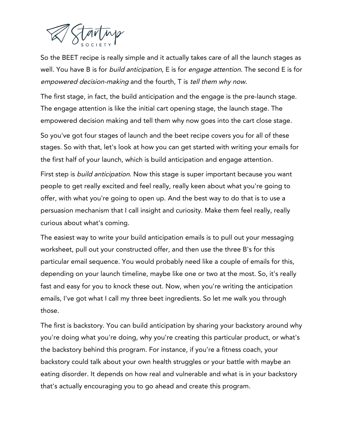

So the BEET recipe is really simple and it actually takes care of all the launch stages as well. You have B is for *build anticipation*, E is for *engage attention*. The second E is for empowered decision-making and the fourth, T is tell them why now.

The first stage, in fact, the build anticipation and the engage is the pre-launch stage. The engage attention is like the initial cart opening stage, the launch stage. The empowered decision making and tell them why now goes into the cart close stage.

So you've got four stages of launch and the beet recipe covers you for all of these stages. So with that, let's look at how you can get started with writing your emails for the first half of your launch, which is build anticipation and engage attention.

First step is *build anticipation*. Now this stage is super important because you want people to get really excited and feel really, really keen about what you're going to offer, with what you're going to open up. And the best way to do that is to use a persuasion mechanism that I call insight and curiosity. Make them feel really, really curious about what's coming.

The easiest way to write your build anticipation emails is to pull out your messaging worksheet, pull out your constructed offer, and then use the three B's for this particular email sequence. You would probably need like a couple of emails for this, depending on your launch timeline, maybe like one or two at the most. So, it's really fast and easy for you to knock these out. Now, when you're writing the anticipation emails, I've got what I call my three beet ingredients. So let me walk you through those.

The first is backstory. You can build anticipation by sharing your backstory around why you're doing what you're doing, why you're creating this particular product, or what's the backstory behind this program. For instance, if you're a fitness coach, your backstory could talk about your own health struggles or your battle with maybe an eating disorder. It depends on how real and vulnerable and what is in your backstory that's actually encouraging you to go ahead and create this program.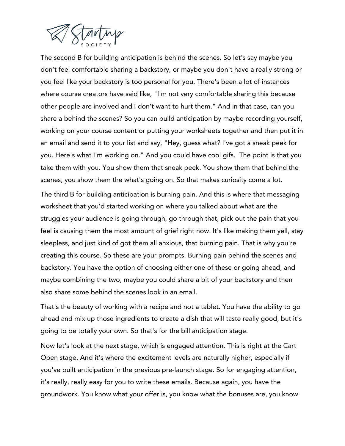

The second B for building anticipation is behind the scenes. So let's say maybe you don't feel comfortable sharing a backstory, or maybe you don't have a really strong or you feel like your backstory is too personal for you. There's been a lot of instances where course creators have said like, "I'm not very comfortable sharing this because other people are involved and I don't want to hurt them." And in that case, can you share a behind the scenes? So you can build anticipation by maybe recording yourself, working on your course content or putting your worksheets together and then put it in an email and send it to your list and say, "Hey, guess what? I've got a sneak peek for you. Here's what I'm working on." And you could have cool gifs. The point is that you take them with you. You show them that sneak peek. You show them that behind the scenes, you show them the what's going on. So that makes curiosity come a lot.

The third B for building anticipation is burning pain. And this is where that messaging worksheet that you'd started working on where you talked about what are the struggles your audience is going through, go through that, pick out the pain that you feel is causing them the most amount of grief right now. It's like making them yell, stay sleepless, and just kind of got them all anxious, that burning pain. That is why you're creating this course. So these are your prompts. Burning pain behind the scenes and backstory. You have the option of choosing either one of these or going ahead, and maybe combining the two, maybe you could share a bit of your backstory and then also share some behind the scenes look in an email.

That's the beauty of working with a recipe and not a tablet. You have the ability to go ahead and mix up those ingredients to create a dish that will taste really good, but it's going to be totally your own. So that's for the bill anticipation stage.

Now let's look at the next stage, which is engaged attention. This is right at the Cart Open stage. And it's where the excitement levels are naturally higher, especially if you've built anticipation in the previous pre-launch stage. So for engaging attention, it's really, really easy for you to write these emails. Because again, you have the groundwork. You know what your offer is, you know what the bonuses are, you know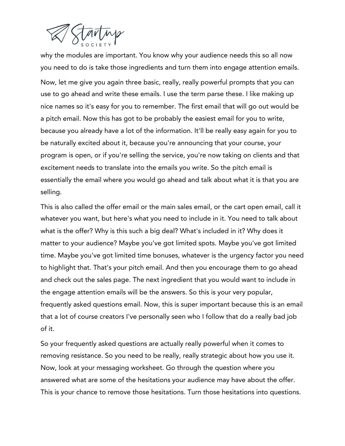

why the modules are important. You know why your audience needs this so all now you need to do is take those ingredients and turn them into engage attention emails. Now, let me give you again three basic, really, really powerful prompts that you can use to go ahead and write these emails. I use the term parse these. I like making up nice names so it's easy for you to remember. The first email that will go out would be a pitch email. Now this has got to be probably the easiest email for you to write, because you already have a lot of the information. It'll be really easy again for you to be naturally excited about it, because you're announcing that your course, your program is open, or if you're selling the service, you're now taking on clients and that excitement needs to translate into the emails you write. So the pitch email is essentially the email where you would go ahead and talk about what it is that you are selling.

This is also called the offer email or the main sales email, or the cart open email, call it whatever you want, but here's what you need to include in it. You need to talk about what is the offer? Why is this such a big deal? What's included in it? Why does it matter to your audience? Maybe you've got limited spots. Maybe you've got limited time. Maybe you've got limited time bonuses, whatever is the urgency factor you need to highlight that. That's your pitch email. And then you encourage them to go ahead and check out the sales page. The next ingredient that you would want to include in the engage attention emails will be the answers. So this is your very popular, frequently asked questions email. Now, this is super important because this is an email that a lot of course creators I've personally seen who I follow that do a really bad job of it.

So your frequently asked questions are actually really powerful when it comes to removing resistance. So you need to be really, really strategic about how you use it. Now, look at your messaging worksheet. Go through the question where you answered what are some of the hesitations your audience may have about the offer. This is your chance to remove those hesitations. Turn those hesitations into questions.